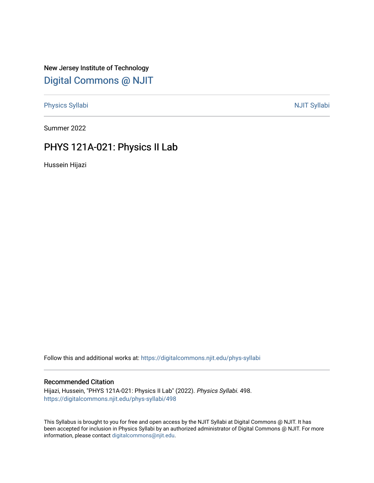New Jersey Institute of Technology [Digital Commons @ NJIT](https://digitalcommons.njit.edu/) 

[Physics Syllabi](https://digitalcommons.njit.edu/phys-syllabi) **NJIT Syllabi** [NJIT Syllabi](https://digitalcommons.njit.edu/syllabi) and the syllabidity of the syllabidity of the syllabidity of the syllabidity of the syllabidity of the syllabidity of the syllabidity of the syllabidity of the syllabidity of the

Summer 2022

# PHYS 121A-021: Physics II Lab

Hussein Hijazi

Follow this and additional works at: [https://digitalcommons.njit.edu/phys-syllabi](https://digitalcommons.njit.edu/phys-syllabi?utm_source=digitalcommons.njit.edu%2Fphys-syllabi%2F498&utm_medium=PDF&utm_campaign=PDFCoverPages) 

## Recommended Citation

Hijazi, Hussein, "PHYS 121A-021: Physics II Lab" (2022). Physics Syllabi. 498. [https://digitalcommons.njit.edu/phys-syllabi/498](https://digitalcommons.njit.edu/phys-syllabi/498?utm_source=digitalcommons.njit.edu%2Fphys-syllabi%2F498&utm_medium=PDF&utm_campaign=PDFCoverPages) 

This Syllabus is brought to you for free and open access by the NJIT Syllabi at Digital Commons @ NJIT. It has been accepted for inclusion in Physics Syllabi by an authorized administrator of Digital Commons @ NJIT. For more information, please contact [digitalcommons@njit.edu.](mailto:digitalcommons@njit.edu)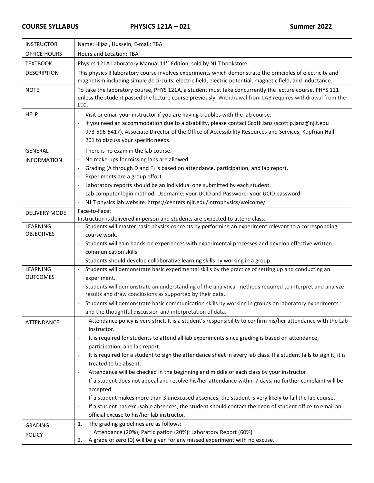| <b>INSTRUCTOR</b>    | Name: Hijazi, Hussein, E-mail: TBA                                                                                                                                                                                                                                                                                                    |  |  |
|----------------------|---------------------------------------------------------------------------------------------------------------------------------------------------------------------------------------------------------------------------------------------------------------------------------------------------------------------------------------|--|--|
| OFFICE HOURS         | <b>Hours and Location: TBA</b>                                                                                                                                                                                                                                                                                                        |  |  |
| <b>TEXTBOOK</b>      | Physics 121A Laboratory Manual 11 <sup>th</sup> Edition, sold by NJIT bookstore                                                                                                                                                                                                                                                       |  |  |
| <b>DESCRIPTION</b>   | This physics II laboratory course involves experiments which demonstrate the principles of electricity and<br>magnetism including simple dc circuits, electric field, electric potential, magnetic field, and inductance.                                                                                                             |  |  |
| <b>NOTE</b>          | To take the laboratory course, PHYS 121A, a student must take concurrently the lecture course, PHYS 121<br>unless the student passed the lecture course previously. Withdrawal from LAB requires withdrawal from the<br>LEC.                                                                                                          |  |  |
| <b>HELP</b>          | Visit or email your instructor if you are having troubles with the lab course.<br>If you need an accommodation due to a disability, please contact Scott Janz (scott.p.janz@njit.edu<br>973-596-5417), Associate Director of the Office of Accessibility Resources and Services, Kupfrian Hall<br>201 to discuss your specific needs. |  |  |
| <b>GENERAL</b>       | There is no exam in the lab course.                                                                                                                                                                                                                                                                                                   |  |  |
| <b>INFORMATION</b>   | No make-ups for missing labs are allowed.                                                                                                                                                                                                                                                                                             |  |  |
|                      | Grading (A through D and F) is based on attendance, participation, and lab report.                                                                                                                                                                                                                                                    |  |  |
|                      | Experiments are a group effort.                                                                                                                                                                                                                                                                                                       |  |  |
|                      | Laboratory reports should be an individual one submitted by each student.                                                                                                                                                                                                                                                             |  |  |
|                      | Lab computer login method: Username: your UCID and Password: your UCID password                                                                                                                                                                                                                                                       |  |  |
|                      | NJIT physics lab website: https://centers.njit.edu/introphysics/welcome/                                                                                                                                                                                                                                                              |  |  |
| <b>DELIVERY MODE</b> | Face-to-Face:<br>Instruction is delivered in person and students are expected to attend class.                                                                                                                                                                                                                                        |  |  |
| <b>LEARNING</b>      | Students will master basic physics concepts by performing an experiment relevant to a corresponding                                                                                                                                                                                                                                   |  |  |
| <b>OBJECTIVES</b>    | course work.                                                                                                                                                                                                                                                                                                                          |  |  |
|                      | Students will gain hands-on experiences with experimental processes and develop effective written                                                                                                                                                                                                                                     |  |  |
|                      | communication skills.                                                                                                                                                                                                                                                                                                                 |  |  |
|                      | Students should develop collaborative learning skills by working in a group.                                                                                                                                                                                                                                                          |  |  |
| LEARNING             | Students will demonstrate basic experimental skills by the practice of setting up and conducting an<br>$\overline{\phantom{a}}$                                                                                                                                                                                                       |  |  |
| <b>OUTCOMES</b>      | experiment.                                                                                                                                                                                                                                                                                                                           |  |  |
|                      | Students will demonstrate an understanding of the analytical methods required to interpret and analyze<br>results and draw conclusions as supported by their data.                                                                                                                                                                    |  |  |
|                      | Students will demonstrate basic communication skills by working in groups on laboratory experiments                                                                                                                                                                                                                                   |  |  |
|                      | and the thoughtful discussion and interpretation of data.                                                                                                                                                                                                                                                                             |  |  |
| ATTENDANCE           | Attendance policy is very strict. It is a student's responsibility to confirm his/her attendance with the Lab<br>$\overline{\phantom{a}}$<br>instructor.                                                                                                                                                                              |  |  |
|                      | It is required for students to attend all lab experiments since grading is based on attendance,                                                                                                                                                                                                                                       |  |  |
|                      | participation, and lab report.                                                                                                                                                                                                                                                                                                        |  |  |
|                      | It is required for a student to sign the attendance sheet in every lab class. If a student fails to sign it, it is<br>$\overline{\phantom{a}}$                                                                                                                                                                                        |  |  |
|                      | treated to be absent.                                                                                                                                                                                                                                                                                                                 |  |  |
|                      | Attendance will be checked in the beginning and middle of each class by your instructor.<br>$\overline{\phantom{a}}$                                                                                                                                                                                                                  |  |  |
|                      | If a student does not appeal and resolve his/her attendance within 7 days, no further complaint will be                                                                                                                                                                                                                               |  |  |
|                      | accepted.                                                                                                                                                                                                                                                                                                                             |  |  |
|                      | If a student makes more than 3 unexcused absences, the student is very likely to fail the lab course.<br>$\overline{\phantom{a}}$                                                                                                                                                                                                     |  |  |
|                      | If a student has excusable absences, the student should contact the dean of student office to email an                                                                                                                                                                                                                                |  |  |
|                      | official excuse to his/her lab instructor.                                                                                                                                                                                                                                                                                            |  |  |
| <b>GRADING</b>       | The grading guidelines are as follows:<br>1.<br>Attendance (20%); Participation (20%); Laboratory Report (60%)                                                                                                                                                                                                                        |  |  |
| <b>POLICY</b>        | A grade of zero (0) will be given for any missed experiment with no excuse.<br>2.                                                                                                                                                                                                                                                     |  |  |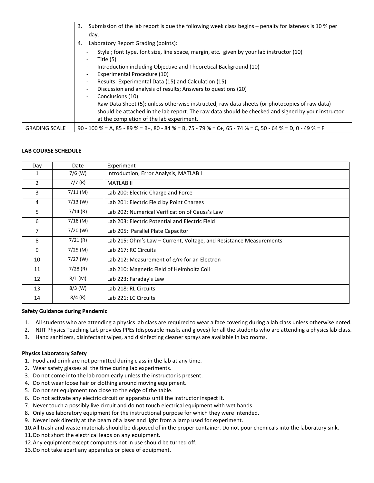|                      | Submission of the lab report is due the following week class begins – penalty for lateness is 10 % per<br>3.                                   |
|----------------------|------------------------------------------------------------------------------------------------------------------------------------------------|
|                      | day.                                                                                                                                           |
|                      | Laboratory Report Grading (points):<br>4.                                                                                                      |
|                      | Style; font type, font size, line space, margin, etc. given by your lab instructor (10)<br>Title (5)                                           |
|                      | Introduction including Objective and Theoretical Background (10)                                                                               |
|                      | Experimental Procedure (10)                                                                                                                    |
|                      | Results: Experimental Data (15) and Calculation (15)                                                                                           |
|                      | Discussion and analysis of results; Answers to questions (20)                                                                                  |
|                      | Conclusions (10)                                                                                                                               |
|                      | Raw Data Sheet (5); unless otherwise instructed, raw data sheets (or photocopies of raw data)                                                  |
|                      | should be attached in the lab report. The raw data should be checked and signed by your instructor<br>at the completion of the lab experiment. |
| <b>GRADING SCALE</b> | 90 - 100 % = A, 85 - 89 % = B+, 80 - 84 % = B, 75 - 79 % = C+, 65 - 74 % = C, 50 - 64 % = D, 0 - 49 % = F                                      |

### **LAB COURSE SCHEDULE**

| Day            | Date       | Experiment                                                         |
|----------------|------------|--------------------------------------------------------------------|
| 1              | $7/6$ (W)  | Introduction, Error Analysis, MATLAB I                             |
| 2              | 7/7(R)     | <b>MATLAB II</b>                                                   |
| 3              | $7/11$ (M) | Lab 200: Electric Charge and Force                                 |
| 4              | $7/13$ (W) | Lab 201: Electric Field by Point Charges                           |
| 5              | 7/14(R)    | Lab 202: Numerical Verification of Gauss's Law                     |
| 6              | $7/18$ (M) | Lab 203: Electric Potential and Electric Field                     |
| $\overline{7}$ | $7/20$ (W) | Lab 205: Parallel Plate Capacitor                                  |
| 8              | $7/21$ (R) | Lab 215: Ohm's Law – Current, Voltage, and Resistance Measurements |
| 9              | $7/25$ (M) | Lab 217: RC Circuits                                               |
| 10             | $7/27$ (W) | Lab 212: Measurement of e/m for an Electron                        |
| 11             | 7/28(R)    | Lab 210: Magnetic Field of Helmholtz Coil                          |
| 12             | $8/1$ (M)  | Lab 223: Faraday's Law                                             |
| 13             | $8/3$ (W)  | Lab 218: RL Circuits                                               |
| 14             | 8/4(R)     | Lab 221: LC Circuits                                               |

#### **Safety Guidance during Pandemic**

- 1. All students who are attending a physics lab class are required to wear a face covering during a lab class unless otherwise noted.
- 2. NJIT Physics Teaching Lab provides PPEs (disposable masks and gloves) for all the students who are attending a physics lab class.
- 3. Hand sanitizers, disinfectant wipes, and disinfecting cleaner sprays are available in lab rooms.

### **Physics Laboratory Safety**

- 1. Food and drink are not permitted during class in the lab at any time.
- 2. Wear safety glasses all the time during lab experiments.
- 3. Do not come into the lab room early unless the instructor is present.
- 4. Do not wear loose hair or clothing around moving equipment.
- 5. Do not set equipment too close to the edge of the table.
- 6. Do not activate any electric circuit or apparatus until the instructor inspect it.
- 7. Never touch a possibly live circuit and do not touch electrical equipment with wet hands.
- 8. Only use laboratory equipment for the instructional purpose for which they were intended.
- 9. Never look directly at the beam of a laser and light from a lamp used for experiment.
- 10.All trash and waste materials should be disposed of in the proper container. Do not pour chemicals into the laboratory sink.
- 11.Do not short the electrical leads on any equipment.
- 12.Any equipment except computers not in use should be turned off.
- 13.Do not take apart any apparatus or piece of equipment.